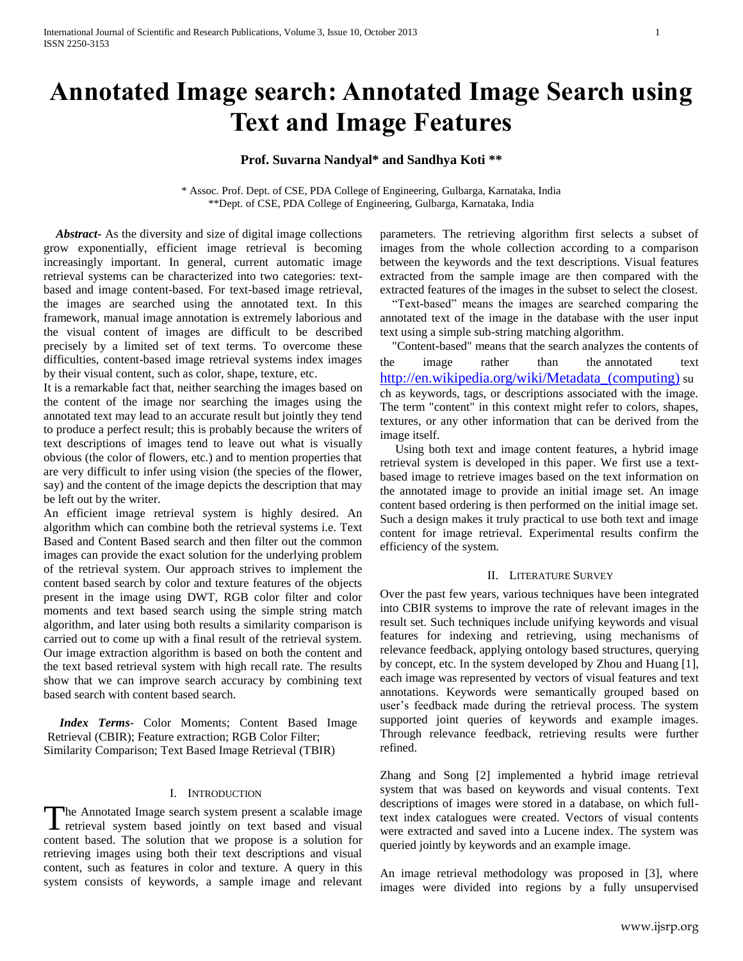# **Annotated Image search: Annotated Image Search using Text and Image Features**

## **Prof. Suvarna Nandyal\* and Sandhya Koti \*\***

\* Assoc. Prof. Dept. of CSE, PDA College of Engineering, Gulbarga, Karnataka, India \*\*Dept. of CSE, PDA College of Engineering, Gulbarga, Karnataka, India

 *Abstract***-** As the diversity and size of digital image collections grow exponentially, efficient image retrieval is becoming increasingly important. In general, current automatic image retrieval systems can be characterized into two categories: textbased and image content-based. For text-based image retrieval, the images are searched using the annotated text. In this framework, manual image annotation is extremely laborious and the visual content of images are difficult to be described precisely by a limited set of text terms. To overcome these difficulties, content-based image retrieval systems index images by their visual content, such as color, shape, texture, etc.

It is a remarkable fact that, neither searching the images based on the content of the image nor searching the images using the annotated text may lead to an accurate result but jointly they tend to produce a perfect result; this is probably because the writers of text descriptions of images tend to leave out what is visually obvious (the color of flowers, etc.) and to mention properties that are very difficult to infer using vision (the species of the flower, say) and the content of the image depicts the description that may be left out by the writer.

An efficient image retrieval system is highly desired. An algorithm which can combine both the retrieval systems i.e. Text Based and Content Based search and then filter out the common images can provide the exact solution for the underlying problem of the retrieval system. Our approach strives to implement the content based search by color and texture features of the objects present in the image using DWT, RGB color filter and color moments and text based search using the simple string match algorithm, and later using both results a similarity comparison is carried out to come up with a final result of the retrieval system. Our image extraction algorithm is based on both the content and the text based retrieval system with high recall rate. The results show that we can improve search accuracy by combining text based search with content based search.

 *Index Terms*- Color Moments; Content Based Image Retrieval (CBIR); Feature extraction; RGB Color Filter; Similarity Comparison; Text Based Image Retrieval (TBIR)

#### I. INTRODUCTION

The Annotated Image search system present a scalable image The Annotated Image search system present a scalable image retrieval system based jointly on text based and visual content based. The solution that we propose is a solution for retrieving images using both their text descriptions and visual content, such as features in color and texture. A query in this system consists of keywords, a sample image and relevant

parameters. The retrieving algorithm first selects a subset of images from the whole collection according to a comparison between the keywords and the text descriptions. Visual features extracted from the sample image are then compared with the extracted features of the images in the subset to select the closest.

 "Text-based" means the images are searched comparing the annotated text of the image in the database with the user input text using a simple sub-string matching algorithm.

 "Content-based" means that the search analyzes the contents of the image rather than the annotated text [http://en.wikipedia.org/wiki/Metadata\\_\(computing\)](http://en.wikipedia.org/wiki/Metadata_(computing)) su ch as keywords, tags, or descriptions associated with the image. The term "content" in this context might refer to colors, shapes, textures, or any other information that can be derived from the image itself.

 Using both text and image content features, a hybrid image retrieval system is developed in this paper. We first use a textbased image to retrieve images based on the text information on the annotated image to provide an initial image set. An image content based ordering is then performed on the initial image set. Such a design makes it truly practical to use both text and image content for image retrieval. Experimental results confirm the efficiency of the system.

#### II. LITERATURE SURVEY

Over the past few years, various techniques have been integrated into CBIR systems to improve the rate of relevant images in the result set. Such techniques include unifying keywords and visual features for indexing and retrieving, using mechanisms of relevance feedback, applying ontology based structures, querying by concept, etc. In the system developed by Zhou and Huang [1], each image was represented by vectors of visual features and text annotations. Keywords were semantically grouped based on user's feedback made during the retrieval process. The system supported joint queries of keywords and example images. Through relevance feedback, retrieving results were further refined.

Zhang and Song [2] implemented a hybrid image retrieval system that was based on keywords and visual contents. Text descriptions of images were stored in a database, on which fulltext index catalogues were created. Vectors of visual contents were extracted and saved into a Lucene index. The system was queried jointly by keywords and an example image.

An image retrieval methodology was proposed in [3], where images were divided into regions by a fully unsupervised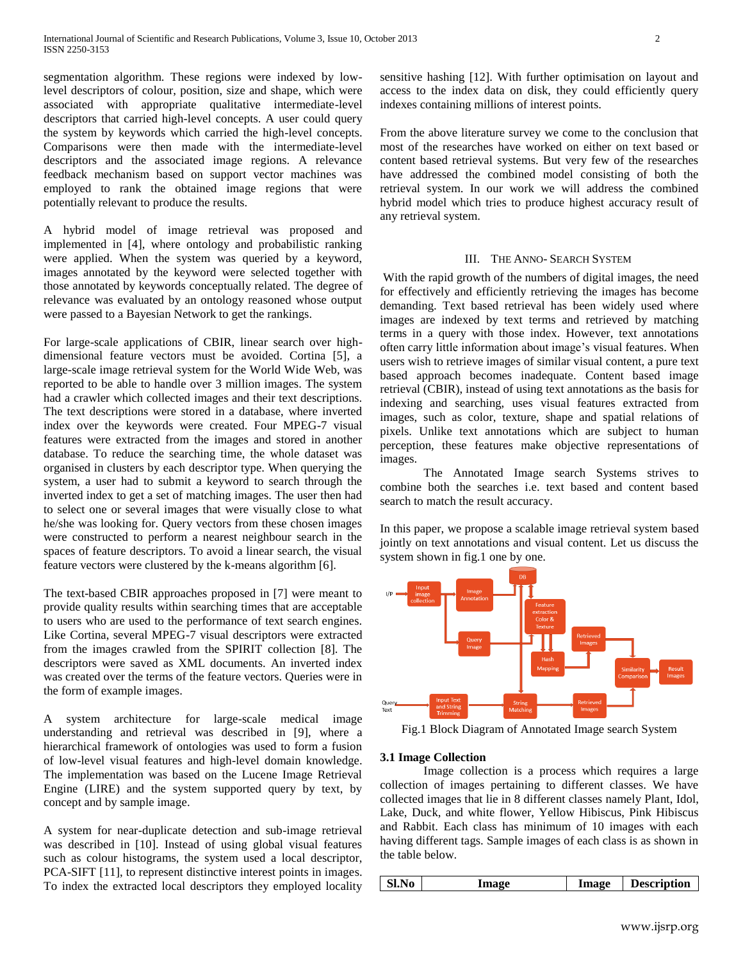segmentation algorithm. These regions were indexed by lowlevel descriptors of colour, position, size and shape, which were associated with appropriate qualitative intermediate-level descriptors that carried high-level concepts. A user could query the system by keywords which carried the high-level concepts. Comparisons were then made with the intermediate-level descriptors and the associated image regions. A relevance feedback mechanism based on support vector machines was employed to rank the obtained image regions that were potentially relevant to produce the results.

A hybrid model of image retrieval was proposed and implemented in [4], where ontology and probabilistic ranking were applied. When the system was queried by a keyword, images annotated by the keyword were selected together with those annotated by keywords conceptually related. The degree of relevance was evaluated by an ontology reasoned whose output were passed to a Bayesian Network to get the rankings.

For large-scale applications of CBIR, linear search over highdimensional feature vectors must be avoided. Cortina [5], a large-scale image retrieval system for the World Wide Web, was reported to be able to handle over 3 million images. The system had a crawler which collected images and their text descriptions. The text descriptions were stored in a database, where inverted index over the keywords were created. Four MPEG-7 visual features were extracted from the images and stored in another database. To reduce the searching time, the whole dataset was organised in clusters by each descriptor type. When querying the system, a user had to submit a keyword to search through the inverted index to get a set of matching images. The user then had to select one or several images that were visually close to what he/she was looking for. Query vectors from these chosen images were constructed to perform a nearest neighbour search in the spaces of feature descriptors. To avoid a linear search, the visual feature vectors were clustered by the k-means algorithm [6].

The text-based CBIR approaches proposed in [7] were meant to provide quality results within searching times that are acceptable to users who are used to the performance of text search engines. Like Cortina, several MPEG-7 visual descriptors were extracted from the images crawled from the SPIRIT collection [8]. The descriptors were saved as XML documents. An inverted index was created over the terms of the feature vectors. Queries were in the form of example images.

A system architecture for large-scale medical image understanding and retrieval was described in [9], where a hierarchical framework of ontologies was used to form a fusion of low-level visual features and high-level domain knowledge. The implementation was based on the Lucene Image Retrieval Engine (LIRE) and the system supported query by text, by concept and by sample image.

A system for near-duplicate detection and sub-image retrieval was described in [10]. Instead of using global visual features such as colour histograms, the system used a local descriptor, PCA-SIFT [11], to represent distinctive interest points in images. To index the extracted local descriptors they employed locality sensitive hashing [12]. With further optimisation on layout and access to the index data on disk, they could efficiently query indexes containing millions of interest points.

From the above literature survey we come to the conclusion that most of the researches have worked on either on text based or content based retrieval systems. But very few of the researches have addressed the combined model consisting of both the retrieval system. In our work we will address the combined hybrid model which tries to produce highest accuracy result of any retrieval system.

#### III. THE ANNO- SEARCH SYSTEM

With the rapid growth of the numbers of digital images, the need for effectively and efficiently retrieving the images has become demanding. Text based retrieval has been widely used where images are indexed by text terms and retrieved by matching terms in a query with those index. However, text annotations often carry little information about image's visual features. When users wish to retrieve images of similar visual content, a pure text based approach becomes inadequate. Content based image retrieval (CBIR), instead of using text annotations as the basis for indexing and searching, uses visual features extracted from images, such as color, texture, shape and spatial relations of pixels. Unlike text annotations which are subject to human perception, these features make objective representations of images.

The Annotated Image search Systems strives to combine both the searches i.e. text based and content based search to match the result accuracy.

In this paper, we propose a scalable image retrieval system based jointly on text annotations and visual content. Let us discuss the system shown in fig.1 one by one.



Fig.1 Block Diagram of Annotated Image search System

#### **3.1 Image Collection**

Image collection is a process which requires a large collection of images pertaining to different classes. We have collected images that lie in 8 different classes namely Plant, Idol, Lake, Duck, and white flower, Yellow Hibiscus, Pink Hibiscus and Rabbit. Each class has minimum of 10 images with each having different tags. Sample images of each class is as shown in the table below.

| Sl.No<br>Image | Image | <b>Description</b> |
|----------------|-------|--------------------|
|----------------|-------|--------------------|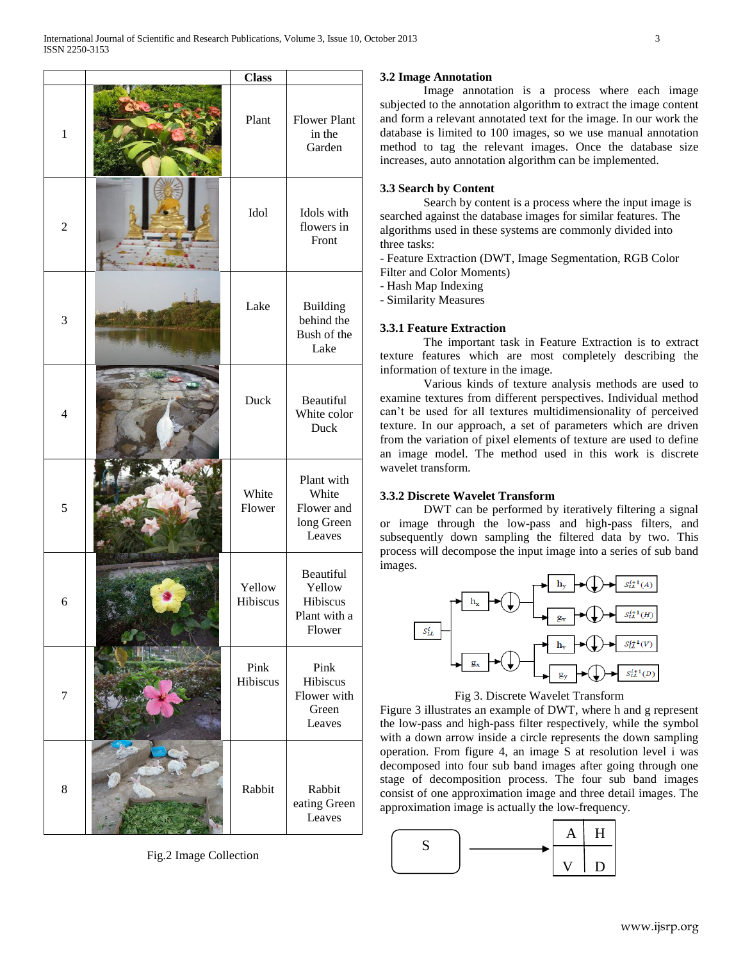|                | <b>Class</b>       |                                                           |
|----------------|--------------------|-----------------------------------------------------------|
| $\mathbf{1}$   | Plant              | <b>Flower Plant</b><br>in the<br>Garden                   |
| $\overline{2}$ | Idol               | Idols with<br>flowers in<br>Front                         |
| 3              | Lake               | <b>Building</b><br>behind the<br>Bush of the<br>Lake      |
| $\overline{4}$ | Duck               | Beautiful<br>White color<br>Duck                          |
| 5              | White<br>Flower    | Plant with<br>White<br>Flower and<br>long Green<br>Leaves |
| 6              | Yellow<br>Hibiscus | Beautiful<br>Yellow<br>Hibiscus<br>Plant with a<br>Flower |
| $\tau$         | Pink<br>Hibiscus   | Pink<br>Hibiscus<br>Flower with<br>Green<br>Leaves        |
| $\,8\,$        | Rabbit             | Rabbit<br>eating Green<br>Leaves                          |

Fig.2 Image Collection

#### **3.2 Image Annotation**

Image annotation is a process where each image subjected to the annotation algorithm to extract the image content and form a relevant annotated text for the image. In our work the database is limited to 100 images, so we use manual annotation method to tag the relevant images. Once the database size increases, auto annotation algorithm can be implemented.

#### **3.3 Search by Content**

Search by content is a process where the input image is searched against the database images for similar features. The algorithms used in these systems are commonly divided into three tasks:

- Feature Extraction (DWT, Image Segmentation, RGB Color Filter and Color Moments)

- Hash Map Indexing

- Similarity Measures

## **3.3.1 Feature Extraction**

The important task in Feature Extraction is to extract texture features which are most completely describing the information of texture in the image.

Various kinds of texture analysis methods are used to examine textures from different perspectives. Individual method can't be used for all textures multidimensionality of perceived texture. In our approach, a set of parameters which are driven from the variation of pixel elements of texture are used to define an image model. The method used in this work is discrete wavelet transform.

#### **3.3.2 Discrete Wavelet Transform**

DWT can be performed by iteratively filtering a signal or image through the low-pass and high-pass filters, and subsequently down sampling the filtered data by two. This process will decompose the input image into a series of sub band images.



#### Fig 3. Discrete Wavelet Transform

Figure 3 illustrates an example of DWT, where h and g represent the low-pass and high-pass filter respectively, while the symbol with a down arrow inside a circle represents the down sampling operation. From figure 4, an image S at resolution level i was decomposed into four sub band images after going through one stage of decomposition process. The four sub band images consist of one approximation image and three detail images. The approximation image is actually the low-frequency.

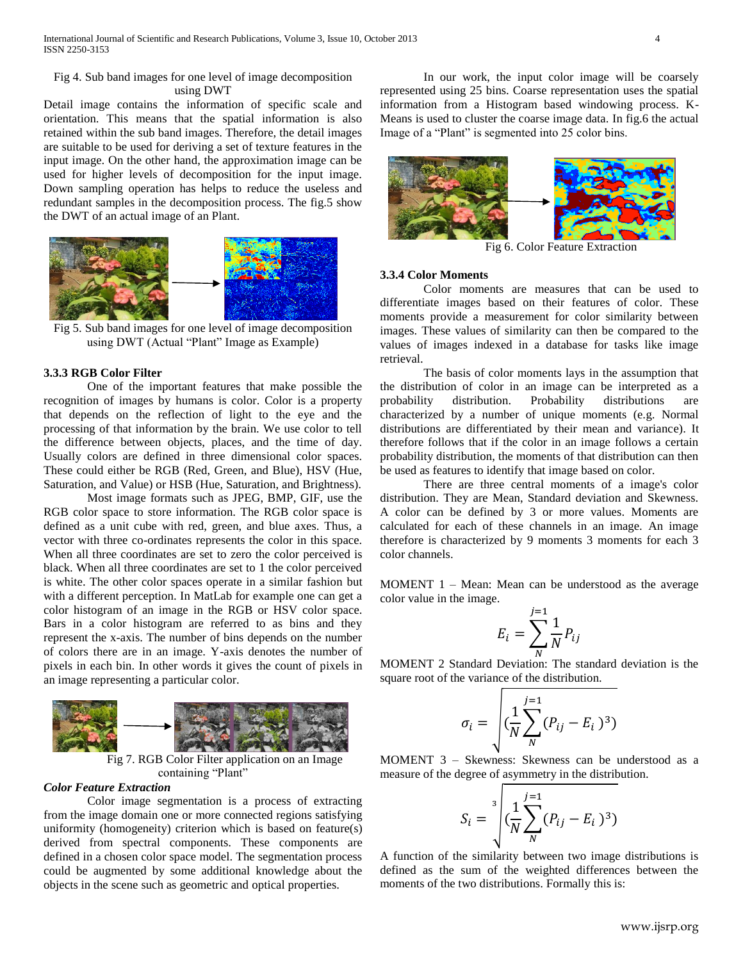### Fig 4. Sub band images for one level of image decomposition using DWT

Detail image contains the information of specific scale and orientation. This means that the spatial information is also retained within the sub band images. Therefore, the detail images are suitable to be used for deriving a set of texture features in the input image. On the other hand, the approximation image can be used for higher levels of decomposition for the input image. Down sampling operation has helps to reduce the useless and redundant samples in the decomposition process. The fig.5 show the DWT of an actual image of an Plant.



Fig 5. Sub band images for one level of image decomposition using DWT (Actual "Plant" Image as Example)

## **3.3.3 RGB Color Filter**

One of the important features that make possible the recognition of images by humans is color. Color is a property that depends on the reflection of light to the eye and the processing of that information by the brain. We use color to tell the difference between objects, places, and the time of day. Usually colors are defined in three dimensional color spaces. These could either be RGB (Red, Green, and Blue), HSV (Hue, Saturation, and Value) or HSB (Hue, Saturation, and Brightness).

Most image formats such as JPEG, BMP, GIF, use the RGB color space to store information. The RGB color space is defined as a unit cube with red, green, and blue axes. Thus, a vector with three co-ordinates represents the color in this space. When all three coordinates are set to zero the color perceived is black. When all three coordinates are set to 1 the color perceived is white. The other color spaces operate in a similar fashion but with a different perception. In MatLab for example one can get a color histogram of an image in the RGB or HSV color space. Bars in a color histogram are referred to as bins and they represent the x-axis. The number of bins depends on the number of colors there are in an image. Y-axis denotes the number of pixels in each bin. In other words it gives the count of pixels in an image representing a particular color.



Fig 7. RGB Color Filter application on an Image containing "Plant"

# *Color Feature Extraction*

Color image segmentation is a process of extracting from the image domain one or more connected regions satisfying uniformity (homogeneity) criterion which is based on feature(s) derived from spectral components. These components are defined in a chosen color space model. The segmentation process could be augmented by some additional knowledge about the objects in the scene such as geometric and optical properties.

In our work, the input color image will be coarsely represented using 25 bins. Coarse representation uses the spatial information from a Histogram based windowing process. K-Means is used to cluster the coarse image data. In fig.6 the actual Image of a "Plant" is segmented into 25 color bins.



#### **3.3.4 Color Moments**

Color moments are measures that can be used to differentiate images based on their features of color. These moments provide a measurement for color similarity between images. These values of similarity can then be compared to the values of images indexed in a database for tasks like image retrieval.

The basis of color moments lays in the assumption that the distribution of color in an image can be interpreted as a probability distribution. Probability distributions are characterized by a number of unique moments (e.g. Normal distributions are differentiated by their mean and variance). It therefore follows that if the color in an image follows a certain probability distribution, the moments of that distribution can then be used as features to identify that image based on color.

There are three central moments of a image's color distribution. They are Mean, Standard deviation and Skewness. A color can be defined by 3 or more values. Moments are calculated for each of these channels in an image. An image therefore is characterized by 9 moments 3 moments for each 3 color channels.

MOMENT 1 – Mean: Mean can be understood as the average color value in the image.

$$
E_i = \sum_{N}^{j=1} \frac{1}{N} P_{ij}
$$

 $\frac{N}{N}$  MOMENT 2 Standard Deviation: The standard deviation is the square root of the variance of the distribution.

$$
\sigma_i = \sqrt{\left(\frac{1}{N}\sum_{N}^{j=1} (P_{ij} - E_i)^3\right)}
$$

MOMENT 3 – Skewness: Skewness can be understood as a measure of the degree of asymmetry in the distribution.

$$
S_i = \sqrt[3]{\frac{1}{N} \sum_{N}^{j=1} (P_{ij} - E_i)^3}
$$

A function of the similarity between two image distributions is defined as the sum of the weighted differences between the moments of the two distributions. Formally this is: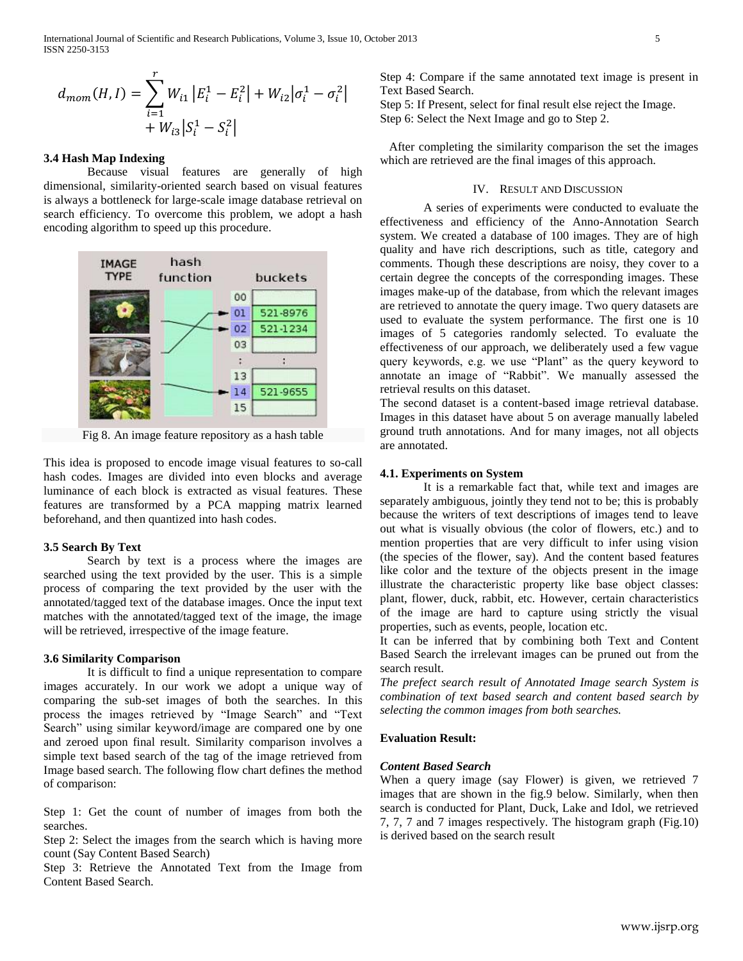International Journal of Scientific and Research Publications, Volume 3, Issue 10, October 2013 5 ISSN 2250-3153

$$
d_{mom}(H, I) = \sum_{i=1}^{r} W_{i1} |E_i^1 - E_i^2| + W_{i2} |\sigma_i^1 - \sigma_i^2| + W_{i3} |S_i^1 - S_i^2|
$$

#### **3.4 Hash Map Indexing**

Because visual features are generally of high dimensional, similarity-oriented search based on visual features is always a bottleneck for large-scale image database retrieval on search efficiency. To overcome this problem, we adopt a hash encoding algorithm to speed up this procedure.



Fig 8. An image feature repository as a hash table

This idea is proposed to encode image visual features to so-call hash codes. Images are divided into even blocks and average luminance of each block is extracted as visual features. These features are transformed by a PCA mapping matrix learned beforehand, and then quantized into hash codes.

#### **3.5 Search By Text**

Search by text is a process where the images are searched using the text provided by the user. This is a simple process of comparing the text provided by the user with the annotated/tagged text of the database images. Once the input text matches with the annotated/tagged text of the image, the image will be retrieved, irrespective of the image feature.

#### **3.6 Similarity Comparison**

It is difficult to find a unique representation to compare images accurately. In our work we adopt a unique way of comparing the sub-set images of both the searches. In this process the images retrieved by "Image Search" and "Text Search" using similar keyword/image are compared one by one and zeroed upon final result. Similarity comparison involves a simple text based search of the tag of the image retrieved from Image based search. The following flow chart defines the method of comparison:

Step 1: Get the count of number of images from both the searches.

Step 2: Select the images from the search which is having more count (Say Content Based Search)

Step 3: Retrieve the Annotated Text from the Image from Content Based Search.

Step 4: Compare if the same annotated text image is present in Text Based Search.

Step 5: If Present, select for final result else reject the Image. Step 6: Select the Next Image and go to Step 2.

 After completing the similarity comparison the set the images which are retrieved are the final images of this approach.

#### IV. RESULT AND DISCUSSION

A series of experiments were conducted to evaluate the effectiveness and efficiency of the Anno-Annotation Search system. We created a database of 100 images. They are of high quality and have rich descriptions, such as title, category and comments. Though these descriptions are noisy, they cover to a certain degree the concepts of the corresponding images. These images make-up of the database, from which the relevant images are retrieved to annotate the query image. Two query datasets are used to evaluate the system performance. The first one is 10 images of 5 categories randomly selected. To evaluate the effectiveness of our approach, we deliberately used a few vague query keywords, e.g. we use "Plant" as the query keyword to annotate an image of "Rabbit". We manually assessed the retrieval results on this dataset.

The second dataset is a content-based image retrieval database. Images in this dataset have about 5 on average manually labeled ground truth annotations. And for many images, not all objects are annotated.

#### **4.1. Experiments on System**

It is a remarkable fact that, while text and images are separately ambiguous, jointly they tend not to be; this is probably because the writers of text descriptions of images tend to leave out what is visually obvious (the color of flowers, etc.) and to mention properties that are very difficult to infer using vision (the species of the flower, say). And the content based features like color and the texture of the objects present in the image illustrate the characteristic property like base object classes: plant, flower, duck, rabbit, etc. However, certain characteristics of the image are hard to capture using strictly the visual properties, such as events, people, location etc.

It can be inferred that by combining both Text and Content Based Search the irrelevant images can be pruned out from the search result.

*The prefect search result of Annotated Image search System is combination of text based search and content based search by selecting the common images from both searches.*

#### **Evaluation Result:**

### *Content Based Search*

When a query image (say Flower) is given, we retrieved 7 images that are shown in the fig.9 below. Similarly, when then search is conducted for Plant, Duck, Lake and Idol, we retrieved 7, 7, 7 and 7 images respectively. The histogram graph (Fig.10) is derived based on the search result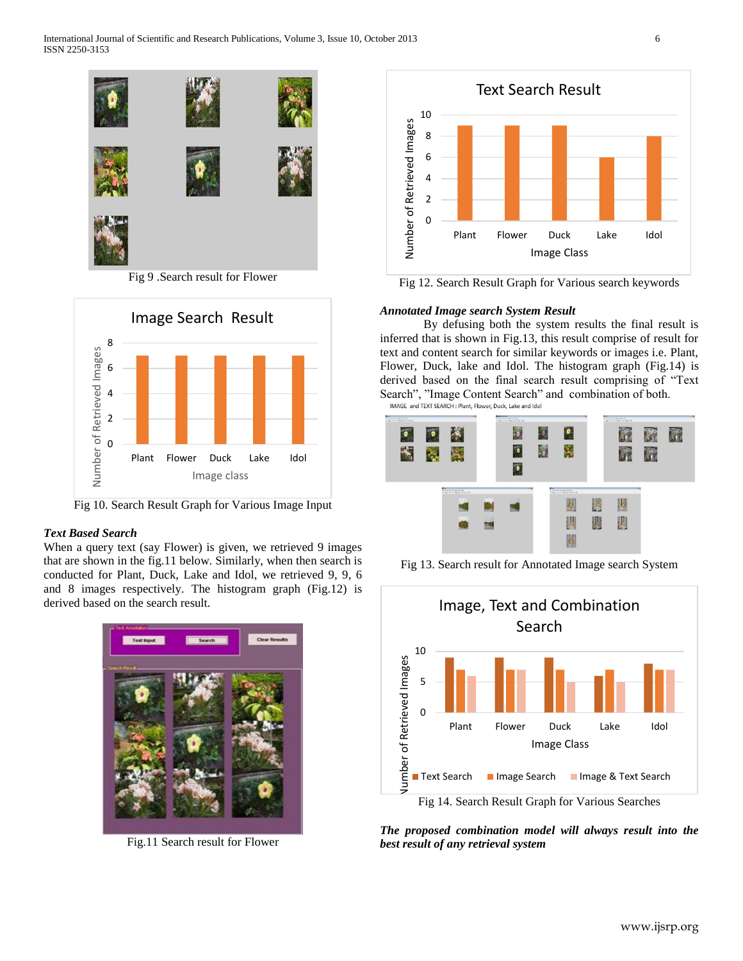International Journal of Scientific and Research Publications, Volume 3, Issue 10, October 2013 6 ISSN 2250-3153



Fig 9 .Search result for Flower



Fig 10. Search Result Graph for Various Image Input

## *Text Based Search*

When a query text (say Flower) is given, we retrieved 9 images that are shown in the fig.11 below. Similarly, when then search is conducted for Plant, Duck, Lake and Idol, we retrieved 9, 9, 6 and 8 images respectively. The histogram graph (Fig.12) is derived based on the search result.



Fig.11 Search result for Flower



Fig 12. Search Result Graph for Various search keywords

## *Annotated Image search System Result*

By defusing both the system results the final result is inferred that is shown in Fig.13, this result comprise of result for text and content search for similar keywords or images i.e. Plant, Flower, Duck, lake and Idol. The histogram graph (Fig.14) is derived based on the final search result comprising of "Text Search", "Image Content Search" and combination of both.



Fig 13. Search result for Annotated Image search System



*The proposed combination model will always result into the best result of any retrieval system*